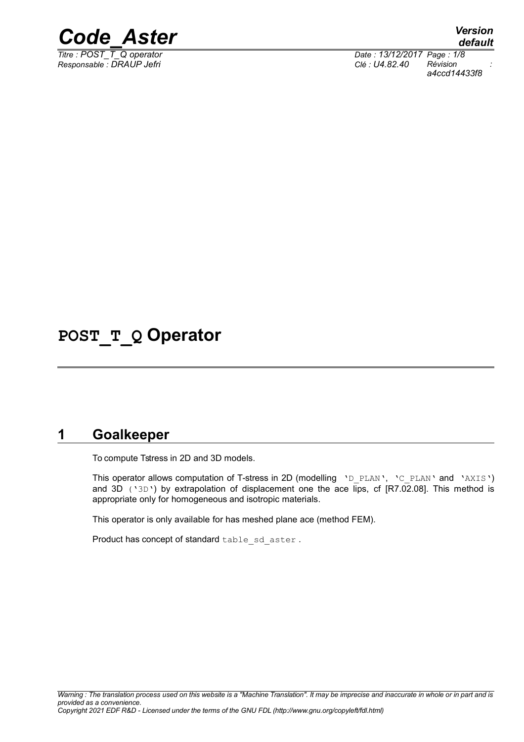

*Titre : POST\_T\_Q operator Date : 13/12/2017 Page : 1/8 Responsable : DRAUP Jefri Clé : U4.82.40 Révision : a4ccd14433f8*

**POST\_T\_Q Operator**

### **1 Goalkeeper**

To compute Tstress in 2D and 3D models.

This operator allows computation of T-stress in 2D (modelling 'D PLAN', 'C PLAN' and 'AXIS') and 3D ('3D') by extrapolation of displacement one the ace lips, cf [R7.02.08]. This method is appropriate only for homogeneous and isotropic materials.

This operator is only available for has meshed plane ace (method FEM).

Product has concept of standard table sd aster .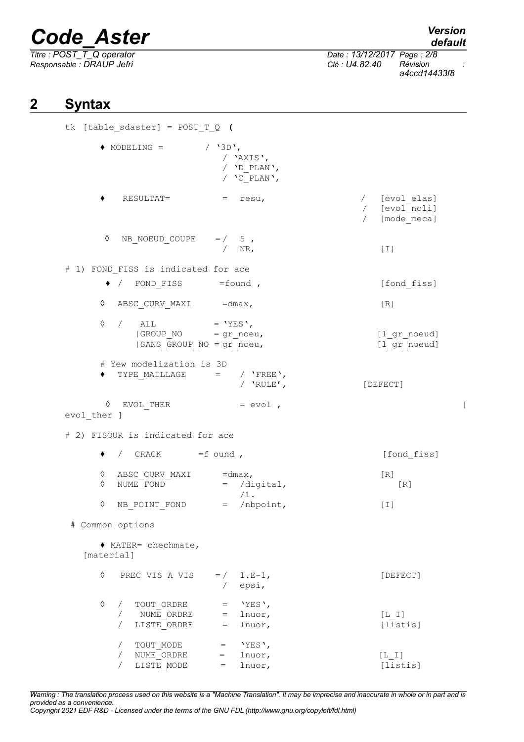# *Code\_Aster Version*<br>*default*<br>*Titre : POST T Q operator Date : 13/12/2017 Page : 2/8*

*Titre : POST\_T\_Q operator Date : 13/12/2017 Page : 2/8 Responsable : DRAUP Jefri Clé : U4.82.40 Révision :*

*a4ccd14433f8*

# **2 Syntax**

tk [table\_sdaster] = POST\_T\_Q **(**  $\triangle$  MODELING = / '3D', / 'AXIS', / 'D\_PLAN', / 'C\_PLAN', ♦ RESULTAT= = resu, / [evol\_elas] / [evol\_noli] / [mode\_meca]  $\Diamond$  NB NOEUD COUPE = / 5 , / NR, [I] # 1) FOND\_FISS is indicated for ace ◆ / FOND FISS =found , [fond fiss]  $\Diamond$  ABSC CURV MAXI =dmax,  $[R]$  $\Diamond$  / ALL = 'YES', |GROUP\_NO = gr\_noeu, [l\_gr\_noeud]  $|SANS$  GROUP NO = gr\_noeu,  $[1]$ gr\_noeud] # Yew modelization is 3D  $\begin{array}{cccc} \bullet & \text{TYPE\_MALLLAGE} & = & / & \text{'FREE'} \, , \end{array}$ [DEFECT]  $\Diamond$  EVOL THER  $=$  evol , evol ther ] # 2) FISOUR is indicated for ace ◆ / CRACK =f ound , in the list of second set of the list of the list of the list of the list of the list of the list of the list of the list of the list of the list of the list of the list of the list of the list of the ◊ ABSC\_CURV\_MAXI =dmax,<br>◊ NUME\_FOND = /digital,  $\Diamond$  NUME FOND = /digital,  $[R]$ /1.  $\sqrt{ }$  NB POINT FOND =  $/$ nbpoint, [I] # Common options ♦ MATER= chechmate, [material]  $\Diamond$  PREC VIS A VIS = / 1.E-1, [DEFECT] / epsi,  $\Diamond$  / TOUT ORDRE = 'YES', / NUME\_ORDRE = lnuor, [L\_I] / LISTE\_ORDRE = lnuor, [listis] / TOUT MODE = 'YES', / NUME\_ORDRE = lnuor, [L\_I]  $/$  LISTE MODE = lnuor,  $[lists]$ 

*Warning : The translation process used on this website is a "Machine Translation". It may be imprecise and inaccurate in whole or in part and is provided as a convenience. Copyright 2021 EDF R&D - Licensed under the terms of the GNU FDL (http://www.gnu.org/copyleft/fdl.html)*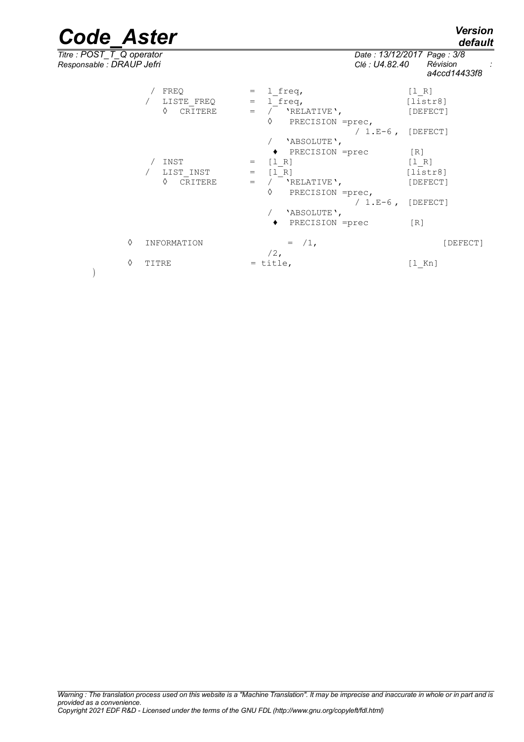)

*default*

*Titre : POST\_T\_Q operator Date : 13/12/2017 Page : 3/8 Responsable : DRAUP Jefri Clé : U4.82.40 Révision :*

|   |                    |                              | <u>u ivvu i ivviv</u> |
|---|--------------------|------------------------------|-----------------------|
|   | / FREQ             | $=$ 1 freq,                  | [1 R]                 |
|   | / LISTE FREQ       | 1 freq,<br>$=$ $\,$          | [liststr8]            |
|   | ♦<br>CRITERE       |                              | [DEFECT]              |
|   |                    | ♦<br>PRECISION =prec,        |                       |
|   |                    | / $1.E-6$ , [DEFECT]         |                       |
|   |                    | 'ABSOLUTE',                  |                       |
|   |                    | ◆ PRECISION =prec            | $\lceil R \rceil$     |
|   | INST               | $=$ $[1 R]$                  | [1 R]                 |
|   | LIST INST          | $=$ $[1 R]$                  | [liststr8]            |
|   | $\Diamond$ CRITERE | $\frac{1}{2}$<br>'RELATIVE', | [DEFECT]              |
|   |                    | ♦<br>PRECISION =prec,        |                       |
|   |                    | / $1.E-6$ , [DEFECT]         |                       |
|   |                    | 'ABSOLUTE',                  |                       |
|   |                    | ◆ PRECISION =prec            | $\lceil R \rceil$     |
|   |                    |                              |                       |
| ♦ | INFORMATION        | $=$ $/1$ .                   | [DEFECT]              |
|   |                    | $/2$ ,                       |                       |
| ♦ | TITRE              | $=$ title,                   | [l Kn]                |
|   |                    |                              |                       |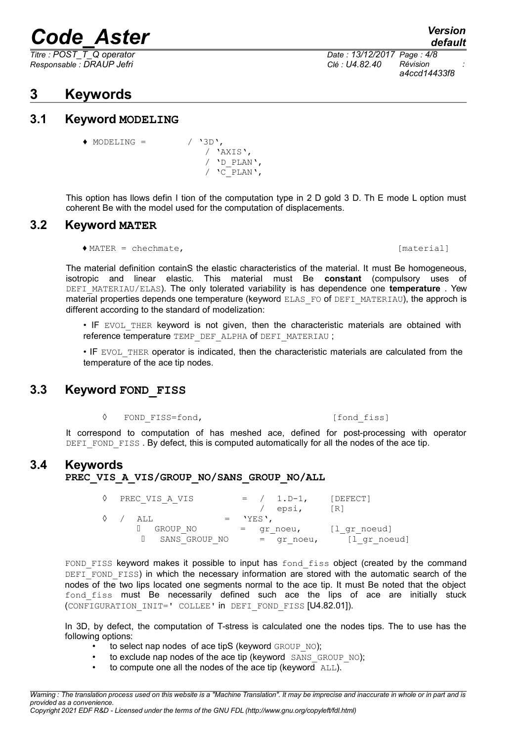*Responsable : DRAUP Jefri Clé : U4.82.40 Révision :*

### **3 Keywords**

### **3.1 Keyword MODELING**

 $\triangle$  MODELING = / '3D', / 'AXIS', / 'D\_PLAN',  $/$   $\sqrt{C}$  PLAN $\prime$ ,

This option has llows defin I tion of the computation type in 2 D gold 3 D. Th E mode L option must coherent Be with the model used for the computation of displacements.

### **3.2 Keyword MATER**

♦ MATER = chechmate, [material]

The material definition containS the elastic characteristics of the material. It must Be homogeneous, isotropic and linear elastic. This material must Be **constant** (compulsory uses of DEFI\_MATERIAU/ELAS). The only tolerated variability is has dependence one **temperature** . Yew material properties depends one temperature (keyword ELAS\_FO of DEFI\_MATERIAU), the approch is different according to the standard of modelization:

• IF EVOL THER keyword is not given, then the characteristic materials are obtained with reference temperature TEMP\_DEF\_ALPHA of DEFI\_MATERIAU ;

• IF EVOL THER operator is indicated, then the characteristic materials are calculated from the temperature of the ace tip nodes.

### **3.3 Keyword FOND FISS**

◊ FOND\_FISS=fond, [fond\_fiss]

It correspond to computation of has meshed ace, defined for post-processing with operator DEFI FOND FISS . By defect, this is computed automatically for all the nodes of the ace tip.

### **3.4 Keywords**

#### PREC\_VIS\_A\_VIS/GROUP\_NO/SANS\_GROUP\_NO/ALL

|                                                                 | PREC VIS A VIS | $= / 1. D-1,$ | [DEFECT]          |
|-----------------------------------------------------------------|----------------|---------------|-------------------|
|                                                                 |                | / epsi,       | $\lceil R \rceil$ |
| $\begin{array}{ccc} \diamond & \diamond & \diamond \end{array}$ | ALL            | $=$ 'YES',    |                   |
|                                                                 | GROUP NO       | = gr noeu,    | [l gr noeud]      |
|                                                                 | SANS GROUP NO  | = qr noeu,    | [l gr noeud]      |

FOND FISS keyword makes it possible to input has fond fiss object (created by the command DEFI\_FOND\_FISS) in which the necessary information are stored with the automatic search of the nodes of the two lips located one segments normal to the ace tip. It must Be noted that the object fond fiss must Be necessarily defined such ace the lips of ace are initially stuck (CONFIGURATION\_INIT=' COLLEE' in DEFI\_FOND\_FISS [U4.82.01]).

In 3D, by defect, the computation of T-stress is calculated one the nodes tips. The to use has the following options:

- to select nap nodes of ace tipS (keyword GROUP NO);
- to exclude nap nodes of the ace tip (keyword SANS GROUP NO);
- $\bullet$  to compute one all the nodes of the ace tip (keyword  $\overline{\text{ALL}}$ ).

*Warning : The translation process used on this website is a "Machine Translation". It may be imprecise and inaccurate in whole or in part and is provided as a convenience.*

*Copyright 2021 EDF R&D - Licensed under the terms of the GNU FDL (http://www.gnu.org/copyleft/fdl.html)*

*Titre : POST\_T\_Q operator Date : 13/12/2017 Page : 4/8 a4ccd14433f8*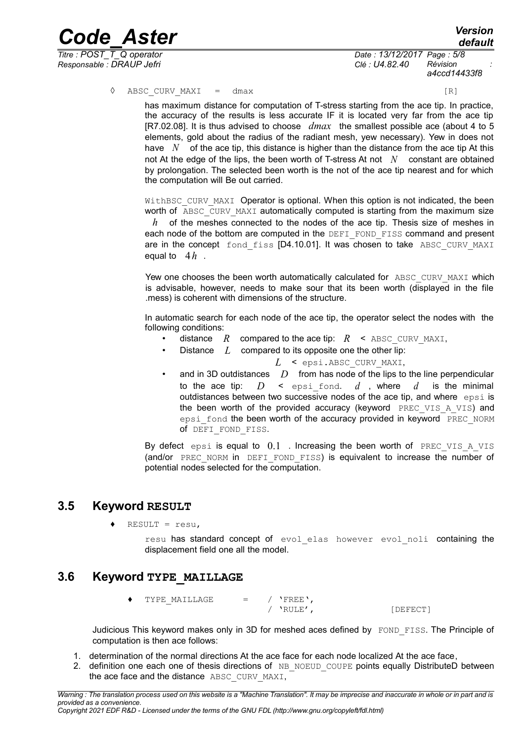$T$ *itre : POST\_T\_Q operator*</u> *Responsable : DRAUP Jefri Clé : U4.82.40 Révision :*

*Code\_Aster Version default a4ccd14433f8*

◊ ABSC CURV MAXI = dmax [R]

has maximum distance for computation of T-stress starting from the ace tip. In practice, the accuracy of the results is less accurate IF it is located very far from the ace tip [R7.02.08]. It is thus advised to choose *dmax* the smallest possible ace (about 4 to 5 elements, gold about the radius of the radiant mesh, yew necessary). Yew in does not have *N* of the ace tip, this distance is higher than the distance from the ace tip At this not At the edge of the lips, the been worth of T-stress At not *N* constant are obtained by prolongation. The selected been worth is the not of the ace tip nearest and for which the computation will Be out carried.

WithBSC CURV MAXI Operator is optional. When this option is not indicated, the been worth of ABSC\_CURV\_MAXI automatically computed is starting from the maximum size

*h* of the meshes connected to the nodes of the ace tip. Thesis size of meshes in each node of the bottom are computed in the DEFI\_FOND\_FISS command and present are in the concept fond fiss [D4.10.01]. It was chosen to take ABSC CURV MAXI equal to 4*h* .

Yew one chooses the been worth automatically calculated for ABSC CURV MAXI which is advisable, however, needs to make sour that its been worth (displayed in the file .mess) is coherent with dimensions of the structure.

In automatic search for each node of the ace tip, the operator select the nodes with the following conditions:

- distance *R* compared to the ace tip:  $R$  < ABSC CURV MAXI,
- Distance L compared to its opposite one the other lip:

*L* < epsi.ABSC\_CURV\_MAXI,

• and in 3D outdistances *D* from has node of the lips to the line perpendicular to the ace tip:  $D \leq \text{epsi}$  fond.  $d$ , where  $d$  is the minimal outdistances between two successive nodes of the ace tip, and where epsi is the been worth of the provided accuracy (keyword  $PREC VIS A VIS$ ) and epsi fond the been worth of the accuracy provided in keyword PREC\_NORM of DEFI FOND FISS.

By defect epsi is equal to  $0.1$  . Increasing the been worth of PREC VIS A VIS (and/or PREC NORM in DEFI FOND FISS) is equivalent to increase the number of potential nodes selected for the computation.

#### **3.5 Keyword RESULT**

 $RESULT = resu,$ 

resu has standard concept of evol elas however evol noli containing the displacement field one all the model.

### **3.6 Keyword TYPE\_MAILLAGE**

 $\blacklozenge$  TYPE MAILLAGE = / 'FREE', / 'RULE', [DEFECT]

Judicious This keyword makes only in 3D for meshed aces defined by FOND FISS. The Principle of computation is then ace follows:

- 1. determination of the normal directions At the ace face for each node localized At the ace face,
- 2. definition one each one of thesis directions of NB\_NOEUD\_COUPE points equally DistributeD between the ace face and the distance ABSC\_CURV\_MAXI,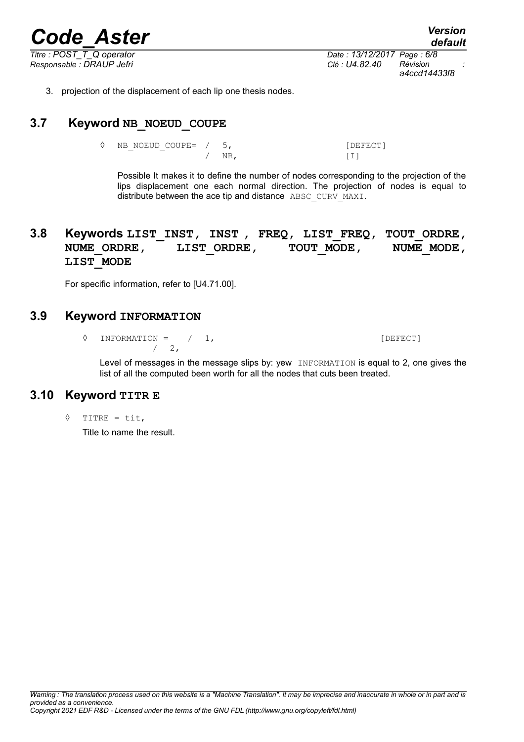$\overline{T}$ *itre : POST\_T\_Q operator* 

*Responsable : DRAUP Jefri Clé : U4.82.40 Révision : a4ccd14433f8*

*default*

3. projection of the displacement of each lip one thesis nodes.

### **3.7 Keyword NB\_NOEUD\_COUPE**

◊ NB\_NOEUD\_COUPE= / 5, [DEFECT] / NR, [I]

Possible It makes it to define the number of nodes corresponding to the projection of the lips displacement one each normal direction. The projection of nodes is equal to distribute between the ace tip and distance ABSC\_CURV\_MAXI.

### **3.8 Keywords LIST\_INST, INST , FREQ, LIST\_FREQ, TOUT\_ORDRE,** NUME\_ORDRE, LIST\_ORDRE, TOUT\_MODE, NUME\_MODE, **LIST\_MODE**

For specific information, refer to [U4.71.00].

### **3.9 Keyword INFORMATION**

◊ INFORMATION = / 1, [DEFECT]  $/2$ ,

Level of messages in the message slips by: yew INFORMATION is equal to 2, one gives the list of all the computed been worth for all the nodes that cuts been treated.

#### **3.10 Keyword TITR E**

◊ TITRE = tit,

Title to name the result.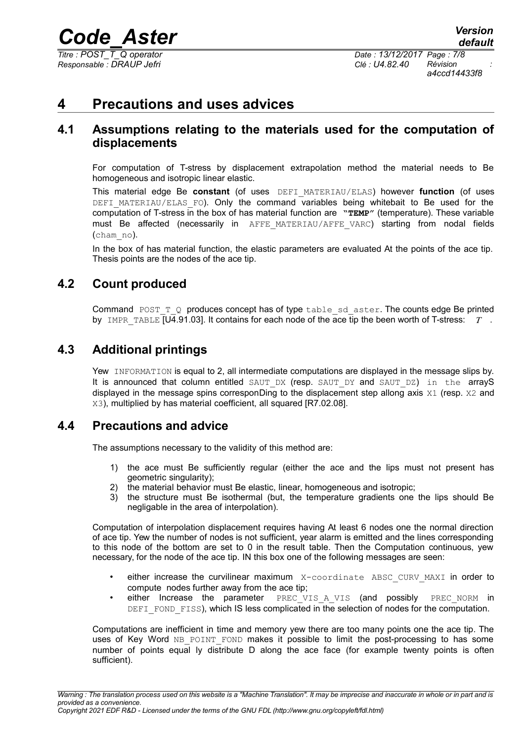$T$ *itre : POST\_T\_Q operator*</u> *Responsable : DRAUP Jefri Clé : U4.82.40 Révision :*

*a4ccd14433f8*

### **4 Precautions and uses advices**

### **4.1 Assumptions relating to the materials used for the computation of displacements**

For computation of T-stress by displacement extrapolation method the material needs to Be homogeneous and isotropic linear elastic.

This material edge Be **constant** (of uses DEFI\_MATERIAU/ELAS) however **function** (of uses DEFI\_MATERIAU/ELAS\_FO). Only the command variables being whitebait to Be used for the computation of T-stress in the box of has material function are **"TEMP"** (temperature). These variable must Be affected (necessarily in AFFE\_MATERIAU/AFFE\_VARC) starting from nodal fields (cham\_no).

In the box of has material function, the elastic parameters are evaluated At the points of the ace tip. Thesis points are the nodes of the ace tip.

### **4.2 Count produced**

Command POST  $TQ$  produces concept has of type table sd aster. The counts edge Be printed by IMPR\_TABLE [U4.91.03]. It contains for each node of the ace tip the been worth of T-stress: *T* .

### **4.3 Additional printings**

Yew INFORMATION is equal to 2, all intermediate computations are displayed in the message slips by. It is announced that column entitled SAUT DX (resp. SAUT\_DY and SAUT\_DZ) in the arrayS displayed in the message spins corresponDing to the displacement step allong axis  $X1$  (resp.  $X2$  and X3), multiplied by has material coefficient, all squared [R7.02.08].

### **4.4 Precautions and advice**

The assumptions necessary to the validity of this method are:

- 1) the ace must Be sufficiently regular (either the ace and the lips must not present has geometric singularity);
- 2) the material behavior must Be elastic, linear, homogeneous and isotropic;
- 3) the structure must Be isothermal (but, the temperature gradients one the lips should Be negligable in the area of interpolation).

Computation of interpolation displacement requires having At least 6 nodes one the normal direction of ace tip. Yew the number of nodes is not sufficient, year alarm is emitted and the lines corresponding to this node of the bottom are set to 0 in the result table. Then the Computation continuous, yew necessary, for the node of the ace tip. IN this box one of the following messages are seen:

- either increase the curvilinear maximum X-coordinate ABSC CURV MAXI in order to compute nodes further away from the ace tip;
- either Increase the parameter PREC VIS A VIS (and possibly PREC\_NORM in DEFI FOND FISS), which IS less complicated in the selection of nodes for the computation.

Computations are inefficient in time and memory yew there are too many points one the ace tip. The uses of Key Word NB POINT FOND makes it possible to limit the post-processing to has some number of points equal ly distribute D along the ace face (for example twenty points is often sufficient).